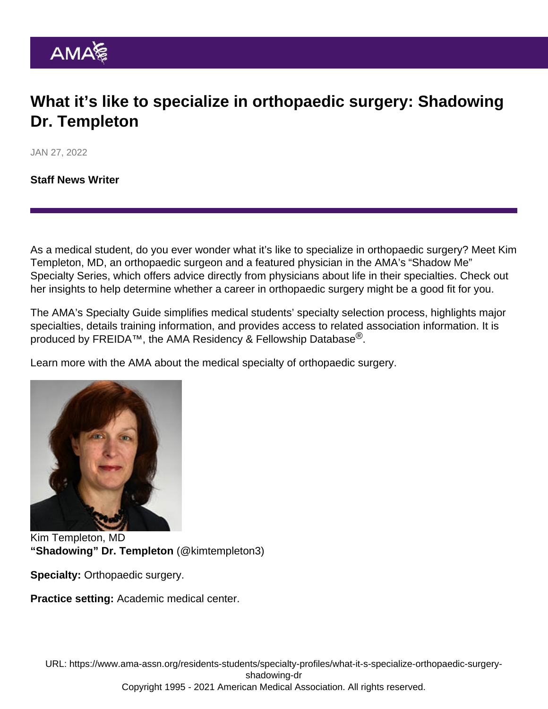## What it's like to specialize in orthopaedic surgery: Shadowing Dr. Templeton

JAN 27, 2022

[Staff News Writer](https://www.ama-assn.org/news-leadership-viewpoints/authors-news-leadership-viewpoints/staff-news-writer)

As a medical student, do you ever wonder what it's like to specialize in orthopaedic surgery? Meet Kim Templeton, MD, an orthopaedic surgeon and a featured physician in the AMA's ["Shadow Me"](https://www.ama-assn.org/residents-students/specialty-profiles) [Specialty Series](https://www.ama-assn.org/residents-students/specialty-profiles), which offers advice directly from physicians about life in their specialties. Check out her insights to help determine whether a career in orthopaedic surgery might be a good fit for you.

The AMA's [Specialty Guide](https://www.ama-assn.org/specialty) simplifies medical students' specialty selection process, highlights major specialties, details training information, and provides access to related association information. It is produced by [FREIDA](https://freida.ama-assn.org/Freida/#/)™, the AMA Residency & Fellowship Database $^{\textcircled{k}}$ .

Learn more with the AMA about the [medical specialty of orthopaedic surgery](https://freida.ama-assn.org/specialty/orthopaedic-surgery).

Kim Templeton, MD "Shadowing" Dr. Templeton [\(@kimtempleton3\)](https://twitter.com/KimTempleton3)

Specialty: Orthopaedic surgery.

Practice setting: Academic medical center.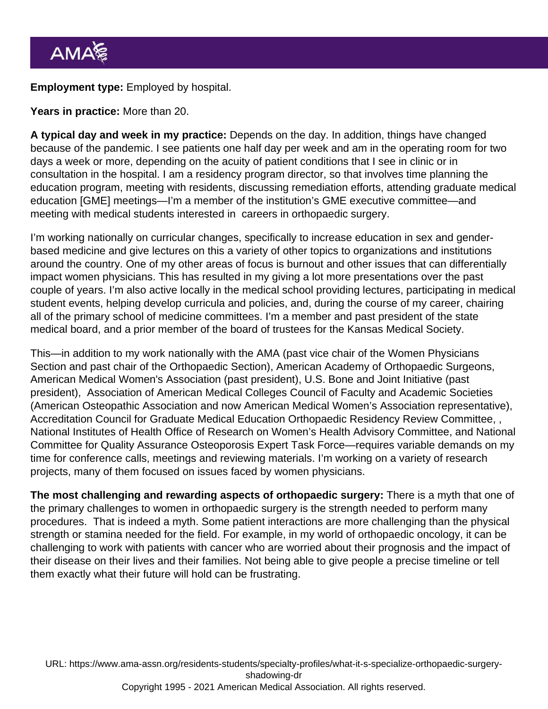Employment type: Employed by hospital.

Years in practice: More than 20.

A typical day and week in my practice: Depends on the day. In addition, things have changed because of the pandemic. I see patients one half day per week and am in the operating room for two days a week or more, depending on the acuity of patient conditions that I see in clinic or in consultation in the hospital. I am a residency program director, so that involves time planning the education program, meeting with residents, discussing remediation efforts, attending graduate medical education [GME] meetings—I'm a member of the institution's GME executive committee—and meeting with medical students interested in careers in orthopaedic surgery.

I'm working nationally on curricular changes, specifically to increase education in sex and genderbased medicine and give lectures on this a variety of other topics to organizations and institutions around the country. One of my other areas of focus is burnout and other issues that can differentially impact women physicians. This has resulted in my giving a lot more presentations over the past couple of years. I'm also active locally in the medical school providing lectures, participating in medical student events, helping develop curricula and policies, and, during the course of my career, chairing all of the primary school of medicine committees. I'm a member and past president of the state medical board, and a prior member of the board of trustees for the Kansas Medical Society.

This—in addition to my work nationally with the AMA (past vice chair of the [Women Physicians](https://www.ama-assn.org/member-groups-sections/women-physicians) [Section](https://www.ama-assn.org/member-groups-sections/women-physicians) and past chair of the Orthopaedic Section), American Academy of Orthopaedic Surgeons, American Medical Women's Association (past president), U.S. Bone and Joint Initiative (past president), Association of American Medical Colleges Council of Faculty and Academic Societies (American Osteopathic Association and now American Medical Women's Association representative), Accreditation Council for Graduate Medical Education Orthopaedic Residency Review Committee, , National Institutes of Health Office of Research on Women's Health Advisory Committee, and National Committee for Quality Assurance Osteoporosis Expert Task Force—requires variable demands on my time for conference calls, meetings and reviewing materials. I'm working on a variety of research projects, many of them focused on issues faced by women physicians.

The most challenging and rewarding aspects of orthopaedic surgery: There is a myth that one of the primary challenges to women in orthopaedic surgery is the strength needed to perform many procedures. That is indeed a myth. Some patient interactions are more challenging than the physical strength or stamina needed for the field. For example, in my world of orthopaedic oncology, it can be challenging to work with patients with cancer who are worried about their prognosis and the impact of their disease on their lives and their families. Not being able to give people a precise timeline or tell them exactly what their future will hold can be frustrating.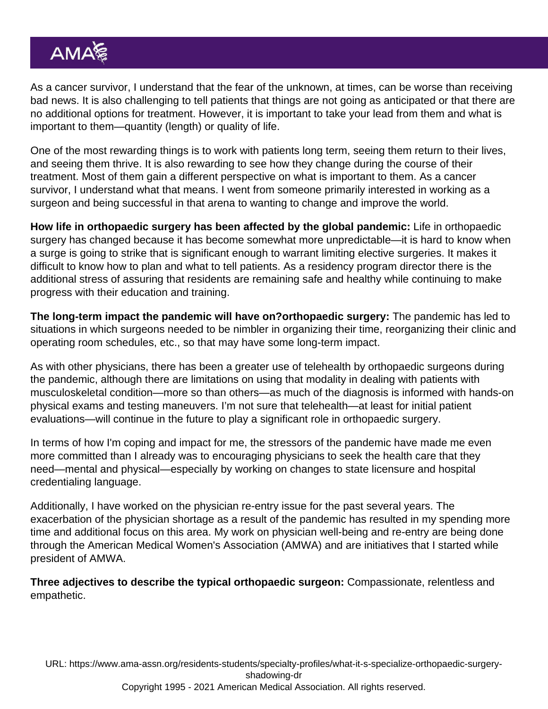As a cancer survivor, I understand that the fear of the unknown, at times, can be worse than receiving bad news. It is also challenging to tell patients that things are not going as anticipated or that there are no additional options for treatment. However, it is important to take your lead from them and what is important to them—quantity (length) or quality of life.

One of the most rewarding things is to work with patients long term, seeing them return to their lives, and seeing them thrive. It is also rewarding to see how they change during the course of their treatment. Most of them gain a different perspective on what is important to them. As a cancer survivor, I understand what that means. I went from someone primarily interested in working as a surgeon and being successful in that arena to wanting to change and improve the world.

How life in orthopaedic surgery has been affected by the global pandemic: Life in orthopaedic surgery has changed because it has become somewhat more unpredictable—it is hard to know when a surge is going to strike that is significant enough to warrant limiting elective surgeries. It makes it difficult to know how to plan and what to tell patients. As a residency program director there is the additional stress of assuring that residents are remaining safe and healthy while continuing to make progress with their education and training.

The long-term impact the pandemic will have on?orthopaedic surgery: The pandemic has led to situations in which surgeons needed to be nimbler in organizing their time, reorganizing their clinic and operating room schedules, etc., so that may have some long-term impact.

As with other physicians, there has been a greater use of telehealth by orthopaedic surgeons during the pandemic, although there are limitations on using that modality in dealing with patients with musculoskeletal condition—more so than others—as much of the diagnosis is informed with hands-on physical exams and testing maneuvers. I'm not sure that telehealth—at least for initial patient evaluations—will continue in the future to play a significant role in orthopaedic surgery.

In terms of how I'm coping and impact for me, the stressors of the pandemic have made me even more committed than I already was to encouraging physicians to seek the health care that they need—mental and physical—especially by working on changes to state licensure and hospital credentialing language.

Additionally, I have worked on the physician re-entry issue for the past several years. The exacerbation of the physician shortage as a result of the pandemic has resulted in my spending more time and additional focus on this area. My work on physician well-being and re-entry are being done through the American Medical Women's Association (AMWA) and are initiatives that I started while president of AMWA.

Three adjectives to describe the typical orthopaedic surgeon: Compassionate, relentless and empathetic.